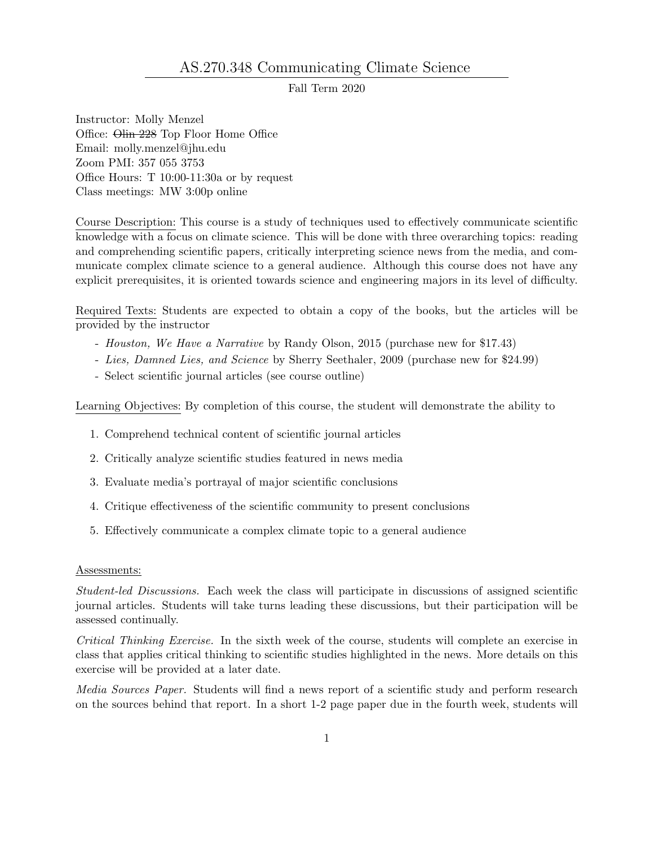## AS.270.348 Communicating Climate Science

Fall Term 2020

Instructor: Molly Menzel Office: Olin 228 Top Floor Home Office Email: molly.menzel@jhu.edu Zoom PMI: 357 055 3753 Office Hours: T 10:00-11:30a or by request Class meetings: MW 3:00p online

Course Description: This course is a study of techniques used to effectively communicate scientific knowledge with a focus on climate science. This will be done with three overarching topics: reading and comprehending scientific papers, critically interpreting science news from the media, and communicate complex climate science to a general audience. Although this course does not have any explicit prerequisites, it is oriented towards science and engineering majors in its level of difficulty.

Required Texts: Students are expected to obtain a copy of the books, but the articles will be provided by the instructor

- Houston, We Have a Narrative by Randy Olson, 2015 (purchase new for \$17.43)
- Lies, Damned Lies, and Science by Sherry Seethaler, 2009 (purchase new for \$24.99)
- Select scientific journal articles (see course outline)

Learning Objectives: By completion of this course, the student will demonstrate the ability to

- 1. Comprehend technical content of scientific journal articles
- 2. Critically analyze scientific studies featured in news media
- 3. Evaluate media's portrayal of major scientific conclusions
- 4. Critique effectiveness of the scientific community to present conclusions
- 5. Effectively communicate a complex climate topic to a general audience

## Assessments:

Student-led Discussions. Each week the class will participate in discussions of assigned scientific journal articles. Students will take turns leading these discussions, but their participation will be assessed continually.

Critical Thinking Exercise. In the sixth week of the course, students will complete an exercise in class that applies critical thinking to scientific studies highlighted in the news. More details on this exercise will be provided at a later date.

Media Sources Paper. Students will find a news report of a scientific study and perform research on the sources behind that report. In a short 1-2 page paper due in the fourth week, students will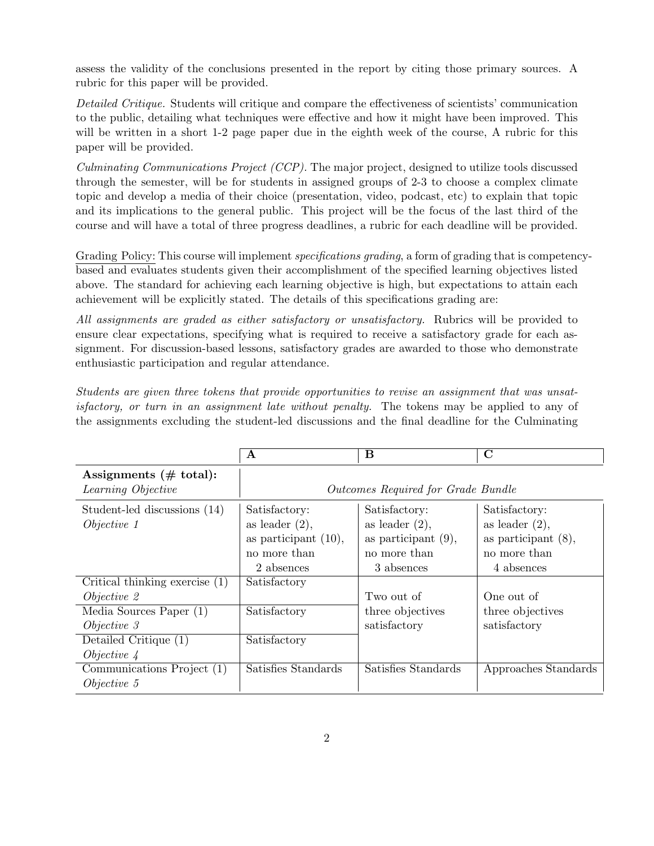assess the validity of the conclusions presented in the report by citing those primary sources. A rubric for this paper will be provided.

Detailed Critique. Students will critique and compare the effectiveness of scientists' communication to the public, detailing what techniques were effective and how it might have been improved. This will be written in a short 1-2 page paper due in the eighth week of the course, A rubric for this paper will be provided.

Culminating Communications Project (CCP). The major project, designed to utilize tools discussed through the semester, will be for students in assigned groups of 2-3 to choose a complex climate topic and develop a media of their choice (presentation, video, podcast, etc) to explain that topic and its implications to the general public. This project will be the focus of the last third of the course and will have a total of three progress deadlines, a rubric for each deadline will be provided.

Grading Policy: This course will implement *specifications grading*, a form of grading that is competencybased and evaluates students given their accomplishment of the specified learning objectives listed above. The standard for achieving each learning objective is high, but expectations to attain each achievement will be explicitly stated. The details of this specifications grading are:

All assignments are graded as either satisfactory or unsatisfactory. Rubrics will be provided to ensure clear expectations, specifying what is required to receive a satisfactory grade for each assignment. For discussion-based lessons, satisfactory grades are awarded to those who demonstrate enthusiastic participation and regular attendance.

Students are given three tokens that provide opportunities to revise an assignment that was unsatisfactory, or turn in an assignment late without penalty. The tokens may be applied to any of the assignments excluding the student-led discussions and the final deadline for the Culminating

|                                                                                                                                                                             | A                                                                                           | B                                                                                          | $\mathbf C$                                                                                |  |
|-----------------------------------------------------------------------------------------------------------------------------------------------------------------------------|---------------------------------------------------------------------------------------------|--------------------------------------------------------------------------------------------|--------------------------------------------------------------------------------------------|--|
| Assignments $(\# \text{ total})$ :<br>Learning Objective                                                                                                                    | Outcomes Required for Grade Bundle                                                          |                                                                                            |                                                                                            |  |
| Student-led discussions (14)<br>Objective <sub>1</sub>                                                                                                                      | Satisfactory:<br>as leader $(2)$ ,<br>as participant $(10)$ ,<br>no more than<br>2 absences | Satisfactory:<br>as leader $(2)$ ,<br>as participant $(9)$ ,<br>no more than<br>3 absences | Satisfactory:<br>as leader $(2)$ ,<br>as participant $(8)$ ,<br>no more than<br>4 absences |  |
| $\overline{\text{Critical thinking exercise}}$ (1)<br>$Objective$ 2<br>Media Sources Paper $(1)$<br>$Objective$ 3<br>Detailed Critique (1)<br>$Objective \nightharpoonup 4$ | Satisfactory<br>Satisfactory<br>Satisfactory                                                | Two out of<br>three objectives<br>satisfactory                                             | One out of<br>three objectives<br>satisfactory                                             |  |
| Communications Project (1)<br>Objective 5                                                                                                                                   | Satisfies Standards                                                                         | Satisfies Standards                                                                        | Approaches Standards                                                                       |  |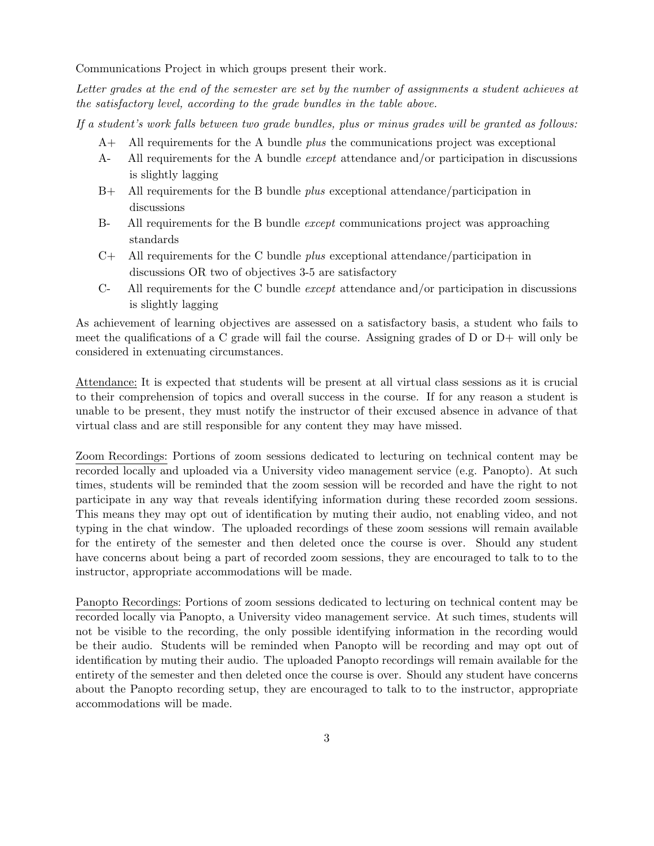Communications Project in which groups present their work.

Letter grades at the end of the semester are set by the number of assignments a student achieves at the satisfactory level, according to the grade bundles in the table above.

If a student's work falls between two grade bundles, plus or minus grades will be granted as follows:

- $A+$  All requirements for the A bundle *plus* the communications project was exceptional
- A- All requirements for the A bundle except attendance and/or participation in discussions is slightly lagging
- B+ All requirements for the B bundle plus exceptional attendance/participation in discussions
- B- All requirements for the B bundle except communications project was approaching standards
- $C_+$  All requirements for the C bundle *plus* exceptional attendance/participation in discussions OR two of objectives 3-5 are satisfactory
- C- All requirements for the C bundle *except* attendance and/or participation in discussions is slightly lagging

As achievement of learning objectives are assessed on a satisfactory basis, a student who fails to meet the qualifications of a C grade will fail the course. Assigning grades of D or  $D+$  will only be considered in extenuating circumstances.

Attendance: It is expected that students will be present at all virtual class sessions as it is crucial to their comprehension of topics and overall success in the course. If for any reason a student is unable to be present, they must notify the instructor of their excused absence in advance of that virtual class and are still responsible for any content they may have missed.

Zoom Recordings: Portions of zoom sessions dedicated to lecturing on technical content may be recorded locally and uploaded via a University video management service (e.g. Panopto). At such times, students will be reminded that the zoom session will be recorded and have the right to not participate in any way that reveals identifying information during these recorded zoom sessions. This means they may opt out of identification by muting their audio, not enabling video, and not typing in the chat window. The uploaded recordings of these zoom sessions will remain available for the entirety of the semester and then deleted once the course is over. Should any student have concerns about being a part of recorded zoom sessions, they are encouraged to talk to to the instructor, appropriate accommodations will be made.

Panopto Recordings: Portions of zoom sessions dedicated to lecturing on technical content may be recorded locally via Panopto, a University video management service. At such times, students will not be visible to the recording, the only possible identifying information in the recording would be their audio. Students will be reminded when Panopto will be recording and may opt out of identification by muting their audio. The uploaded Panopto recordings will remain available for the entirety of the semester and then deleted once the course is over. Should any student have concerns about the Panopto recording setup, they are encouraged to talk to to the instructor, appropriate accommodations will be made.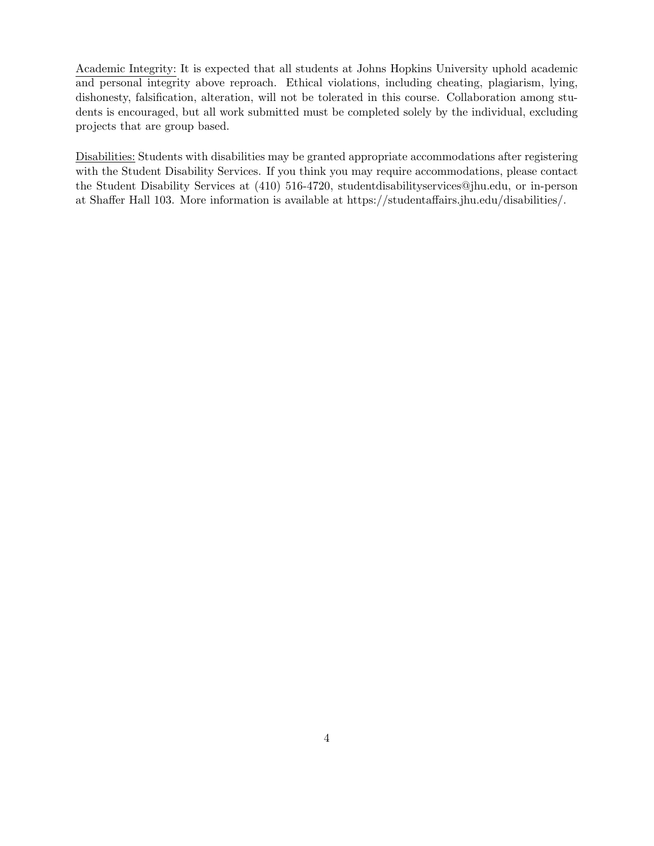Academic Integrity: It is expected that all students at Johns Hopkins University uphold academic and personal integrity above reproach. Ethical violations, including cheating, plagiarism, lying, dishonesty, falsification, alteration, will not be tolerated in this course. Collaboration among students is encouraged, but all work submitted must be completed solely by the individual, excluding projects that are group based.

Disabilities: Students with disabilities may be granted appropriate accommodations after registering with the Student Disability Services. If you think you may require accommodations, please contact the Student Disability Services at (410) 516-4720, studentdisabilityservices@jhu.edu, or in-person at Shaffer Hall 103. More information is available at https://studentaffairs.jhu.edu/disabilities/.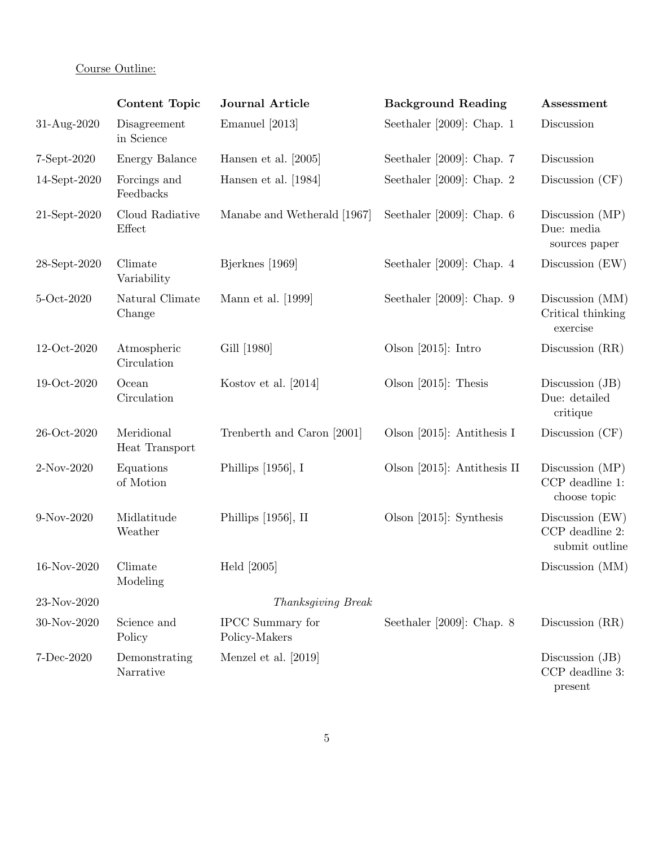## Course Outline:

|              | Content Topic                | <b>Journal Article</b>            | <b>Background Reading</b>    | Assessment                                             |
|--------------|------------------------------|-----------------------------------|------------------------------|--------------------------------------------------------|
| 31-Aug-2020  | Disagreement<br>in Science   | Emanuel [2013]                    | Seethaler [2009]: Chap. $1$  | Discussion                                             |
| 7-Sept-2020  | Energy Balance               | Hansen et al. $[2005]$            | Seethaler $[2009]$ : Chap. 7 | Discussion                                             |
| 14-Sept-2020 | Forcings and<br>Feedbacks    | Hansen et al. [1984]              | Seethaler [2009]: Chap. 2    | Discussion $(CF)$                                      |
| 21-Sept-2020 | Cloud Radiative<br>Effect    | Manabe and Wetherald [1967]       | Seethaler [2009]: Chap. $6$  | Discussion $(MP)$<br>Due: media<br>sources paper       |
| 28-Sept-2020 | Climate<br>Variability       | Bjerknes [1969]                   | Seethaler [2009]: Chap. $4$  | Discussion $(EW)$                                      |
| 5-Oct-2020   | Natural Climate<br>Change    | Mann et al. [1999]                | Seethaler [2009]: Chap. $9$  | Discussion (MM)<br>Critical thinking<br>exercise       |
| 12-Oct-2020  | Atmospheric<br>Circulation   | Gill [1980]                       | Olson $[2015]$ : Intro       | Discussion (RR)                                        |
| 19-Oct-2020  | Ocean<br>Circulation         | Kostov et al. [2014]              | Olson $[2015]$ : Thesis      | Discussion (JB)<br>Due: detailed<br>critique           |
| 26-Oct-2020  | Meridional<br>Heat Transport | Trenberth and Caron [2001]        | Olson [2015]: Antithesis I   | Discussion $(CF)$                                      |
| 2-Nov-2020   | Equations<br>of Motion       | Phillips $[1956]$ , I             | Olson [2015]: Antithesis II  | Discussion $(MP)$<br>CCP deadline 1:<br>choose topic   |
| 9-Nov-2020   | Midlatitude<br>Weather       | Phillips $[1956]$ , II            | Olson $[2015]$ : Synthesis   | Discussion $(EW)$<br>CCP deadline 2:<br>submit outline |
| 16-Nov-2020  | Climate<br>Modeling          | Held $[2005]$                     |                              | Discussion (MM)                                        |
| 23-Nov-2020  |                              | Thanksgiving Break                |                              |                                                        |
| 30-Nov-2020  | Science and<br>Policy        | IPCC Summary for<br>Policy-Makers | Seethaler [2009]: Chap. $8$  | Discussion (RR)                                        |
| 7-Dec-2020   | Demonstrating<br>Narrative   | Menzel et al. [2019]              |                              | Discussion (JB)<br>CCP deadline 3:<br>present          |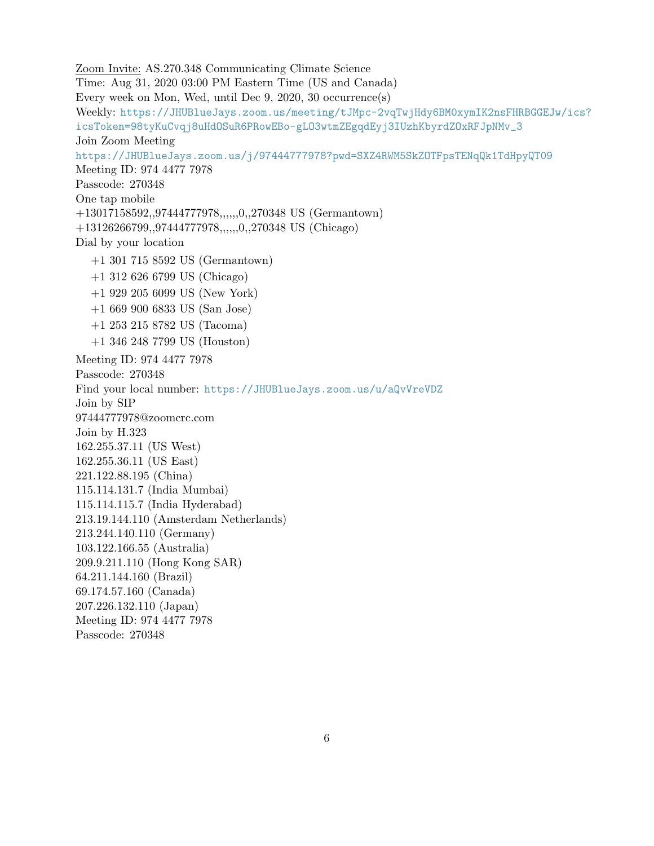Zoom Invite: AS.270.348 Communicating Climate Science Time: Aug 31, 2020 03:00 PM Eastern Time (US and Canada) Every week on Mon, Wed, until Dec 9, 2020, 30 occurrence(s) Weekly: [https://JHUBlueJays.zoom.us/meeting/tJMpc-2vqTwjHdy6BM0xymIK2nsFHRBGGEJw/ic](https://JHUBlueJays.zoom.us/meeting/tJMpc-2vqTwjHdy6BM0xymIK2nsFHRBGGEJw/ics?icsToken=98tyKuCvqj8uHdOSuR6PRowEBo-gLO3wtmZEgqdEyj3IUzhKbyrdZOxRFJpNMv_3)s? [icsToken=98tyKuCvqj8uHdOSuR6PRowEBo-gLO3wtmZEgqdEyj3IUzhKbyrdZOxRFJpNMv\\_3](https://JHUBlueJays.zoom.us/meeting/tJMpc-2vqTwjHdy6BM0xymIK2nsFHRBGGEJw/ics?icsToken=98tyKuCvqj8uHdOSuR6PRowEBo-gLO3wtmZEgqdEyj3IUzhKbyrdZOxRFJpNMv_3) Join Zoom Meeting <https://JHUBlueJays.zoom.us/j/97444777978?pwd=SXZ4RWM5SkZOTFpsTENqQk1TdHpyQT09> Meeting ID: 974 4477 7978 Passcode: 270348 One tap mobile +13017158592,,97444777978,,,,,,0,,270348 US (Germantown) +13126266799,,97444777978,,,,,,0,,270348 US (Chicago) Dial by your location +1 301 715 8592 US (Germantown) +1 312 626 6799 US (Chicago) +1 929 205 6099 US (New York) +1 669 900 6833 US (San Jose) +1 253 215 8782 US (Tacoma) +1 346 248 7799 US (Houston) Meeting ID: 974 4477 7978 Passcode: 270348 Find your local number: <https://JHUBlueJays.zoom.us/u/aQvVreVDZ> Join by SIP 97444777978@zoomcrc.com Join by H.323 162.255.37.11 (US West) 162.255.36.11 (US East) 221.122.88.195 (China) 115.114.131.7 (India Mumbai) 115.114.115.7 (India Hyderabad) 213.19.144.110 (Amsterdam Netherlands) 213.244.140.110 (Germany) 103.122.166.55 (Australia) 209.9.211.110 (Hong Kong SAR) 64.211.144.160 (Brazil) 69.174.57.160 (Canada) 207.226.132.110 (Japan) Meeting ID: 974 4477 7978 Passcode: 270348